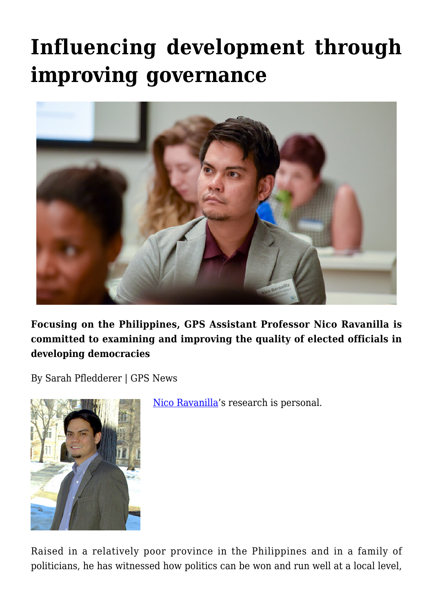# **[Influencing development through](https://gpsnews.ucsd.edu/influencing-development-through-improving-governance/) [improving governance](https://gpsnews.ucsd.edu/influencing-development-through-improving-governance/)**



**Focusing on the Philippines, GPS Assistant Professor Nico Ravanilla is committed to examining and improving the quality of elected officials in developing democracies**

By Sarah Pfledderer | GPS News



[Nico Ravanilla](https://gps.ucsd.edu/faculty-directory/nico-ravanilla.html)'s research is personal.

Raised in a relatively poor province in the Philippines and in a family of politicians, he has witnessed how politics can be won and run well at a local level,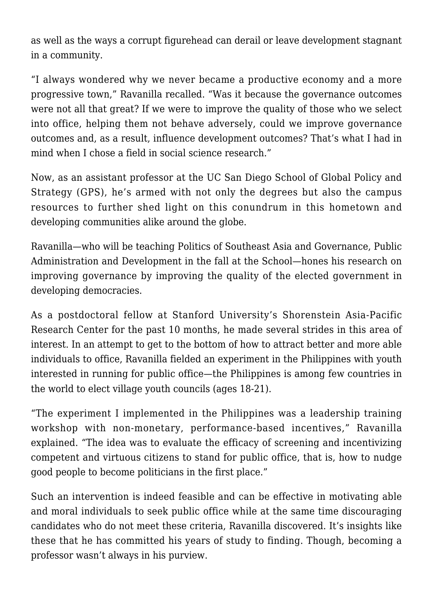as well as the ways a corrupt figurehead can derail or leave development stagnant in a community.

"I always wondered why we never became a productive economy and a more progressive town," Ravanilla recalled. "Was it because the governance outcomes were not all that great? If we were to improve the quality of those who we select into office, helping them not behave adversely, could we improve governance outcomes and, as a result, influence development outcomes? That's what I had in mind when I chose a field in social science research."

Now, as an assistant professor at the UC San Diego School of Global Policy and Strategy (GPS), he's armed with not only the degrees but also the campus resources to further shed light on this conundrum in this hometown and developing communities alike around the globe.

Ravanilla—who will be teaching Politics of Southeast Asia and Governance, Public Administration and Development in the fall at the School—hones his research on improving governance by improving the quality of the elected government in developing democracies.

As a postdoctoral fellow at Stanford University's Shorenstein Asia-Pacific Research Center for the past 10 months, he made several strides in this area of interest. In an attempt to get to the bottom of how to attract better and more able individuals to office, Ravanilla fielded an experiment in the Philippines with youth interested in running for public office—the Philippines is among few countries in the world to elect village youth councils (ages 18-21).

"The experiment I implemented in the Philippines was a leadership training workshop with non-monetary, performance-based incentives," Ravanilla explained. "The idea was to evaluate the efficacy of screening and incentivizing competent and virtuous citizens to stand for public office, that is, how to nudge good people to become politicians in the first place."

Such an intervention is indeed feasible and can be effective in motivating able and moral individuals to seek public office while at the same time discouraging candidates who do not meet these criteria, Ravanilla discovered. It's insights like these that he has committed his years of study to finding. Though, becoming a professor wasn't always in his purview.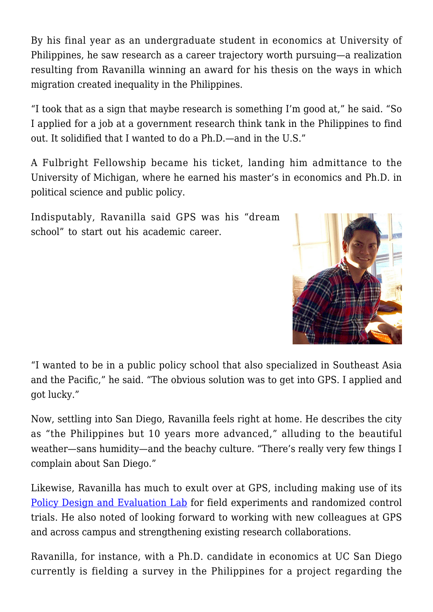By his final year as an undergraduate student in economics at University of Philippines, he saw research as a career trajectory worth pursuing—a realization resulting from Ravanilla winning an award for his thesis on the ways in which migration created inequality in the Philippines.

"I took that as a sign that maybe research is something I'm good at," he said. "So I applied for a job at a government research think tank in the Philippines to find out. It solidified that I wanted to do a Ph.D.—and in the U.S."

A Fulbright Fellowship became his ticket, landing him admittance to the University of Michigan, where he earned his master's in economics and Ph.D. in political science and public policy.

Indisputably, Ravanilla said GPS was his "dream school" to start out his academic career.



"I wanted to be in a public policy school that also specialized in Southeast Asia and the Pacific," he said. "The obvious solution was to get into GPS. I applied and got lucky."

Now, settling into San Diego, Ravanilla feels right at home. He describes the city as "the Philippines but 10 years more advanced," alluding to the beautiful weather—sans humidity—and the beachy culture. "There's really very few things I complain about San Diego."

Likewise, Ravanilla has much to exult over at GPS, including making use of its [Policy Design and Evaluation Lab](http://pdel.ucsd.edu/) for field experiments and randomized control trials. He also noted of looking forward to working with new colleagues at GPS and across campus and strengthening existing research collaborations.

Ravanilla, for instance, with a Ph.D. candidate in economics at UC San Diego currently is fielding a survey in the Philippines for a project regarding the